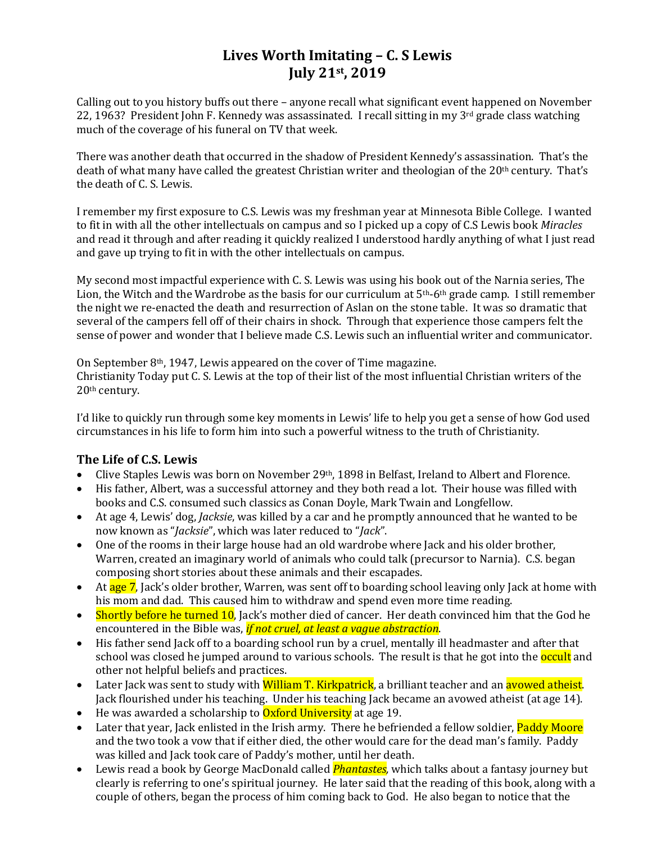## **Lives Worth Imitating – C. S Lewis July 21st, 2019**

Calling out to you history buffs out there – anyone recall what significant event happened on November 22, 1963? President John F. Kennedy was assassinated. I recall sitting in my  $3^{rd}$  grade class watching much of the coverage of his funeral on TV that week.

There was another death that occurred in the shadow of President Kennedy's assassination. That's the death of what many have called the greatest Christian writer and theologian of the 20<sup>th</sup> century. That's the death of C. S. Lewis.

I remember my first exposure to C.S. Lewis was my freshman year at Minnesota Bible College. I wanted to fit in with all the other intellectuals on campus and so I picked up a copy of C.S Lewis book *Miracles* and read it through and after reading it quickly realized I understood hardly anything of what I just read and gave up trying to fit in with the other intellectuals on campus.

My second most impactful experience with C. S. Lewis was using his book out of the Narnia series, The Lion, the Witch and the Wardrobe as the basis for our curriculum at  $5<sup>th</sup>$ -6<sup>th</sup> grade camp. I still remember the night we re-enacted the death and resurrection of Aslan on the stone table. It was so dramatic that several of the campers fell off of their chairs in shock. Through that experience those campers felt the sense of power and wonder that I believe made C.S. Lewis such an influential writer and communicator.

On September 8th, 1947, Lewis appeared on the cover of Time magazine. Christianity Today put C. S. Lewis at the top of their list of the most influential Christian writers of the 20th century.

I'd like to quickly run through some key moments in Lewis' life to help you get a sense of how God used circumstances in his life to form him into such a powerful witness to the truth of Christianity.

#### **The Life of C.S. Lewis**

- Clive Staples Lewis was born on November 29th, 1898 in Belfast, Ireland to Albert and Florence.
- His father, Albert, was a successful attorney and they both read a lot. Their house was filled with books and C.S. consumed such classics as Conan Doyle, Mark Twain and Longfellow.
- At age 4, Lewis' dog, *Jacksie*, was killed by a car and he promptly announced that he wanted to be now known as "*Jacksie*", which was later reduced to "*Jack*".
- One of the rooms in their large house had an old wardrobe where Jack and his older brother, Warren, created an imaginary world of animals who could talk (precursor to Narnia). C.S. began composing short stories about these animals and their escapades.
- At age 7, Jack's older brother, Warren, was sent off to boarding school leaving only Jack at home with his mom and dad. This caused him to withdraw and spend even more time reading.
- Shortly before he turned 10, Jack's mother died of cancer. Her death convinced him that the God he encountered in the Bible was, *if not cruel, at least a vague abstraction*.
- His father send Jack off to a boarding school run by a cruel, mentally ill headmaster and after that school was closed he jumped around to various schools. The result is that he got into the **occult** and other not helpful beliefs and practices.
- Later Jack was sent to study with William T. Kirkpatrick, a brilliant teacher and an avowed atheist. Jack flourished under his teaching. Under his teaching Jack became an avowed atheist (at age 14).
- He was awarded a scholarship to  $Ox$  ford University at age 19.
- Later that year, Jack enlisted in the Irish army. There he befriended a fellow soldier. Paddy Moore and the two took a vow that if either died, the other would care for the dead man's family. Paddy was killed and Jack took care of Paddy's mother, until her death.
- Lewis read a book by George MacDonald called *Phantastes,* which talks about a fantasy journey but clearly is referring to one's spiritual journey. He later said that the reading of this book, along with a couple of others, began the process of him coming back to God. He also began to notice that the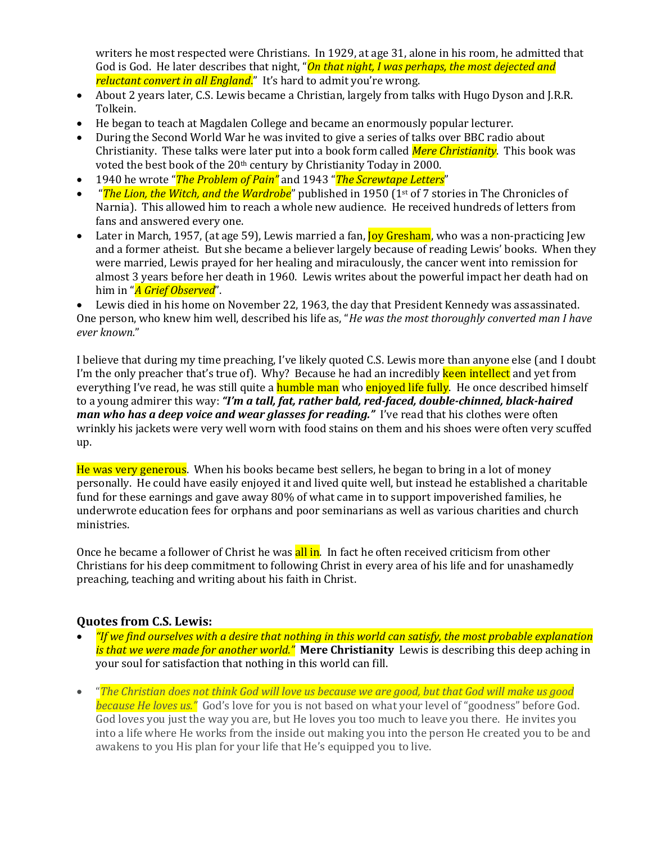writers he most respected were Christians. In 1929, at age 31, alone in his room, he admitted that God is God. He later describes that night, "*On that night, I was perhaps, the most dejected and reluctant convert in all England*." It's hard to admit you're wrong.

- About 2 years later, C.S. Lewis became a Christian, largely from talks with Hugo Dyson and J.R.R. Tolkein.
- He began to teach at Magdalen College and became an enormously popular lecturer.
- During the Second World War he was invited to give a series of talks over BBC radio about Christianity. These talks were later put into a book form called *Mere Christianity*. This book was voted the best book of the 20<sup>th</sup> century by Christianity Today in 2000.
- 1940 he wrote "*The Problem of Pain"* and 1943 "*The Screwtape Letters*"
- "*The Lion, the Witch, and the Wardrobe*" published in 1950 (1st of 7 stories in The Chronicles of Narnia). This allowed him to reach a whole new audience. He received hundreds of letters from fans and answered every one.
- Later in March, 1957, (at age 59), Lewis married a fan, <mark>Joy Gresham</mark>, who was a non-practicing Jew and a former atheist. But she became a believer largely because of reading Lewis' books. When they were married, Lewis prayed for her healing and miraculously, the cancer went into remission for almost 3 years before her death in 1960. Lewis writes about the powerful impact her death had on him in "*A Grief Observed*".

• Lewis died in his home on November 22, 1963, the day that President Kennedy was assassinated. One person, who knew him well, described his life as, "*He was the most thoroughly converted man I have ever known.*"

I believe that during my time preaching, I've likely quoted C.S. Lewis more than anyone else (and I doubt I'm the only preacher that's true of). Why? Because he had an incredibly keen intellect and yet from everything I've read, he was still quite a **humble man** who **enjoyed life fully**. He once described himself to a young admirer this way: *"I'm a tall, fat, rather bald, red-faced, double-chinned, black-haired man who has a deep voice and wear glasses for reading."* I've read that his clothes were often wrinkly his jackets were very well worn with food stains on them and his shoes were often very scuffed up.

He was very generous. When his books became best sellers, he began to bring in a lot of money personally. He could have easily enjoyed it and lived quite well, but instead he established a charitable fund for these earnings and gave away 80% of what came in to support impoverished families, he underwrote education fees for orphans and poor seminarians as well as various charities and church ministries.

Once he became a follower of Christ he was all in. In fact he often received criticism from other Christians for his deep commitment to following Christ in every area of his life and for unashamedly preaching, teaching and writing about his faith in Christ.

#### **Quotes from C.S. Lewis:**

- *"If we find ourselves with a desire that nothing in this world can satisfy, the most probable explanation is that we were made for another world."* **Mere Christianity** Lewis is describing this deep aching in your soul for satisfaction that nothing in this world can fill.
- "*The Christian does not think God will love us because we are good, but that God will make us good because He loves us."* God's love for you is not based on what your level of "goodness" before God. God loves you just the way you are, but He loves you too much to leave you there. He invites you into a life where He works from the inside out making you into the person He created you to be and awakens to you His plan for your life that He's equipped you to live.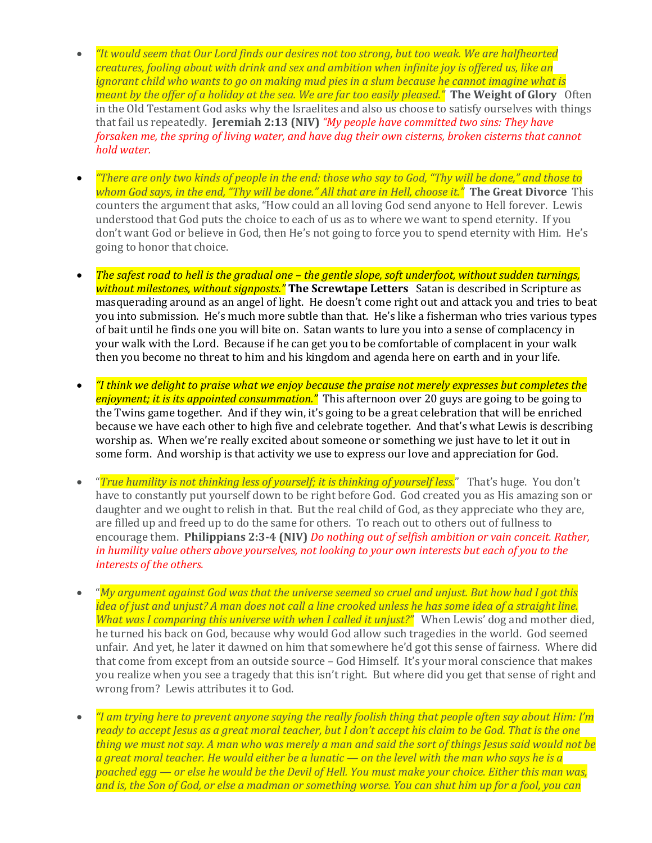- *"It would seem that Our Lord finds our desires not too strong, but too weak. We are halfhearted creatures, fooling about with drink and sex and ambition when infinite joy is offered us, like an ignorant child who wants to go on making mud pies in a slum because he cannot imagine what is meant by the offer of a holiday at the sea. We are far too easily pleased."* **The Weight of Glory** Often in the Old Testament God asks why the Israelites and also us choose to satisfy ourselves with things that fail us repeatedly. **Jeremiah 2:13 (NIV)** *"My people have committed two sins: They have forsaken me, the spring of living water, and have dug their own cisterns, broken cisterns that cannot hold water.*
- *"There are only two kinds of people in the end: those who say to God, "Thy will be done," and those to whom God says, in the end, "Thy will be done." All that are in Hell, choose it."* **The Great Divorce** This counters the argument that asks, "How could an all loving God send anyone to Hell forever. Lewis understood that God puts the choice to each of us as to where we want to spend eternity. If you don't want God or believe in God, then He's not going to force you to spend eternity with Him. He's going to honor that choice.
- *The safest road to hell is the gradual one – the gentle slope, soft underfoot, without sudden turnings, without milestones, without signposts."* **The Screwtape Letters** Satan is described in Scripture as masquerading around as an angel of light. He doesn't come right out and attack you and tries to beat you into submission. He's much more subtle than that. He's like a fisherman who tries various types of bait until he finds one you will bite on. Satan wants to lure you into a sense of complacency in your walk with the Lord. Because if he can get you to be comfortable of complacent in your walk then you become no threat to him and his kingdom and agenda here on earth and in your life.
- *"I think we delight to praise what we enjoy because the praise not merely expresses but completes the enjoyment; it is its appointed consummation."* This afternoon over 20 guys are going to be going to the Twins game together. And if they win, it's going to be a great celebration that will be enriched because we have each other to high five and celebrate together. And that's what Lewis is describing worship as. When we're really excited about someone or something we just have to let it out in some form. And worship is that activity we use to express our love and appreciation for God.
- "*True humility is not thinking less of yourself; it is thinking of yourself less.*" That's huge. You don't have to constantly put yourself down to be right before God. God created you as His amazing son or daughter and we ought to relish in that. But the real child of God, as they appreciate who they are, are filled up and freed up to do the same for others. To reach out to others out of fullness to encourage them. **Philippians 2:3-4 (NIV)** *Do nothing out of selfish ambition or vain conceit. Rather, in humility value others above yourselves, not looking to your own interests but each of you to the interests of the others.*
- "*My argument against God was that the universe seemed so cruel and unjust. But how had I got this idea of just and unjust? A man does not call a line crooked unless he has some idea of a straight line. What was I comparing this universe with when I called it unjust?"* When Lewis' dog and mother died, he turned his back on God, because why would God allow such tragedies in the world. God seemed unfair. And yet, he later it dawned on him that somewhere he'd got this sense of fairness. Where did that come from except from an outside source – God Himself. It's your moral conscience that makes you realize when you see a tragedy that this isn't right. But where did you get that sense of right and wrong from? Lewis attributes it to God.
- *"I am trying here to prevent anyone saying the really foolish thing that people often say about Him: I'm ready to accept Jesus as a great moral teacher, but I don't accept his claim to be God. That is the one thing we must not say. A man who was merely a man and said the sort of things Jesus said would not be a great moral teacher. He would either be a lunatic — on the level with the man who says he is a poached egg — or else he would be the Devil of Hell. You must make your choice. Either this man was, and is, the Son of God, or else a madman or something worse. You can shut him up for a fool, you can*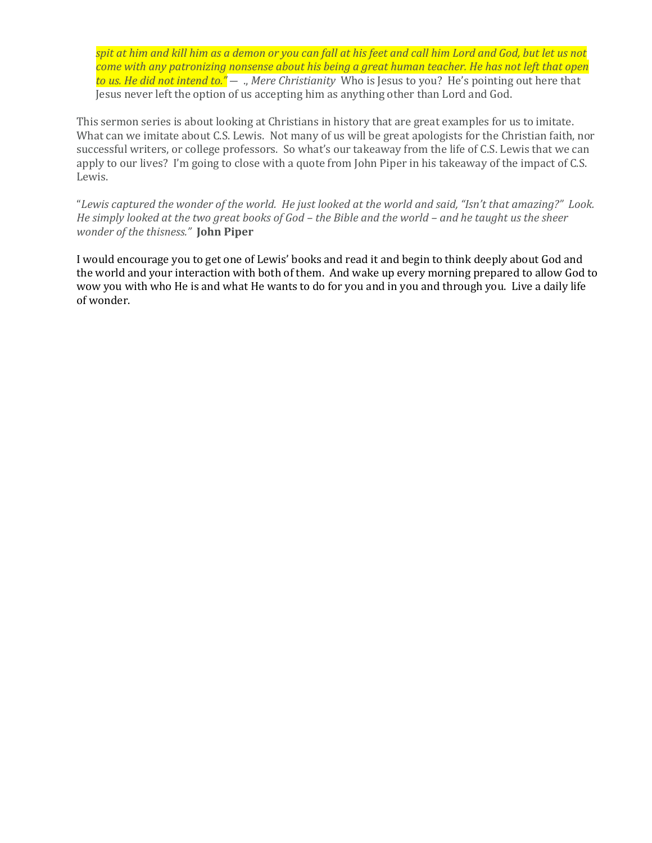*spit at him and kill him as a demon or you can fall at his feet and call him Lord and God, but let us not come with any patronizing nonsense about his being a great human teacher. He has not left that open to us. He did not intend to."* ― ., *Mere Christianity* Who is Jesus to you? He's pointing out here that Jesus never left the option of us accepting him as anything other than Lord and God.

This sermon series is about looking at Christians in history that are great examples for us to imitate. What can we imitate about C.S. Lewis. Not many of us will be great apologists for the Christian faith, nor successful writers, or college professors. So what's our takeaway from the life of C.S. Lewis that we can apply to our lives? I'm going to close with a quote from John Piper in his takeaway of the impact of C.S. Lewis.

"*Lewis captured the wonder of the world. He just looked at the world and said, "Isn't that amazing?" Look. He simply looked at the two great books of God – the Bible and the world – and he taught us the sheer wonder of the thisness."* **John Piper**

I would encourage you to get one of Lewis' books and read it and begin to think deeply about God and the world and your interaction with both of them. And wake up every morning prepared to allow God to wow you with who He is and what He wants to do for you and in you and through you. Live a daily life of wonder.